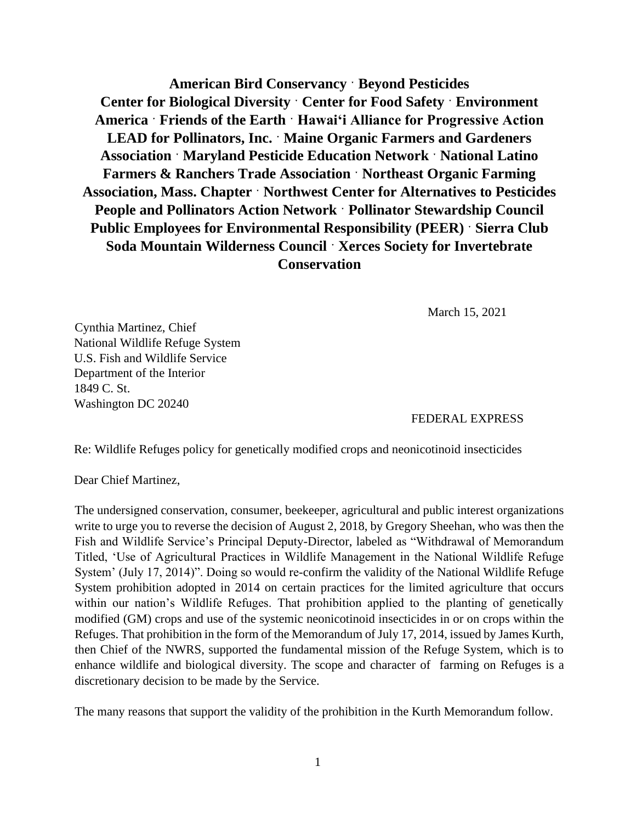**American Bird Conservancy ˑ Beyond Pesticides Center for Biological Diversity ˑ Center for Food Safety ˑ Environment America ˑ Friends of the Earth ˑ Hawaiʻi Alliance for Progressive Action LEAD for Pollinators, Inc. ˑ Maine Organic Farmers and Gardeners Association ˑ Maryland Pesticide Education Network ˑ National Latino Farmers & Ranchers Trade Association ˑ Northeast Organic Farming Association, Mass. Chapter ˑ Northwest Center for Alternatives to Pesticides People and Pollinators Action Network ˑ Pollinator Stewardship Council Public Employees for Environmental Responsibility (PEER) ˑ Sierra Club Soda Mountain Wilderness Council ˑ Xerces Society for Invertebrate Conservation**

March 15, 2021

Cynthia Martinez, Chief National Wildlife Refuge System U.S. Fish and Wildlife Service Department of the Interior 1849 C. St. Washington DC 20240

FEDERAL EXPRESS

Re: Wildlife Refuges policy for genetically modified crops and neonicotinoid insecticides

Dear Chief Martinez,

The undersigned conservation, consumer, beekeeper, agricultural and public interest organizations write to urge you to reverse the decision of August 2, 2018, by Gregory Sheehan, who was then the Fish and Wildlife Service's Principal Deputy-Director, labeled as "Withdrawal of Memorandum Titled, 'Use of Agricultural Practices in Wildlife Management in the National Wildlife Refuge System' (July 17, 2014)". Doing so would re-confirm the validity of the National Wildlife Refuge System prohibition adopted in 2014 on certain practices for the limited agriculture that occurs within our nation's Wildlife Refuges. That prohibition applied to the planting of genetically modified (GM) crops and use of the systemic neonicotinoid insecticides in or on crops within the Refuges. That prohibition in the form of the Memorandum of July 17, 2014, issued by James Kurth, then Chief of the NWRS, supported the fundamental mission of the Refuge System, which is to enhance wildlife and biological diversity. The scope and character of farming on Refuges is a discretionary decision to be made by the Service.

The many reasons that support the validity of the prohibition in the Kurth Memorandum follow.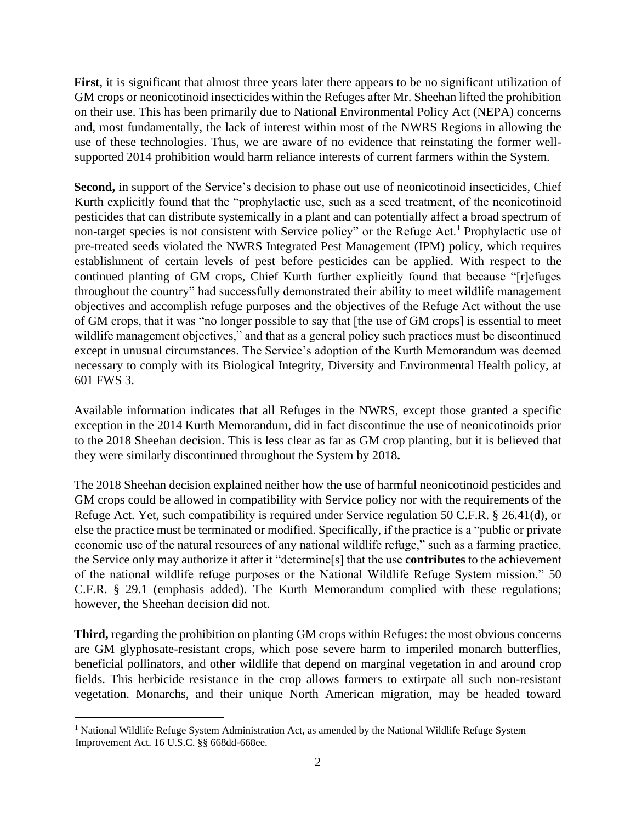**First**, it is significant that almost three years later there appears to be no significant utilization of GM crops or neonicotinoid insecticides within the Refuges after Mr. Sheehan lifted the prohibition on their use. This has been primarily due to National Environmental Policy Act (NEPA) concerns and, most fundamentally, the lack of interest within most of the NWRS Regions in allowing the use of these technologies. Thus, we are aware of no evidence that reinstating the former wellsupported 2014 prohibition would harm reliance interests of current farmers within the System.

**Second,** in support of the Service's decision to phase out use of neonicotinoid insecticides, Chief Kurth explicitly found that the "prophylactic use, such as a seed treatment, of the neonicotinoid pesticides that can distribute systemically in a plant and can potentially affect a broad spectrum of non-target species is not consistent with Service policy" or the Refuge Act.<sup>1</sup> Prophylactic use of pre-treated seeds violated the NWRS Integrated Pest Management (IPM) policy, which requires establishment of certain levels of pest before pesticides can be applied. With respect to the continued planting of GM crops, Chief Kurth further explicitly found that because "[r]efuges throughout the country" had successfully demonstrated their ability to meet wildlife management objectives and accomplish refuge purposes and the objectives of the Refuge Act without the use of GM crops, that it was "no longer possible to say that [the use of GM crops] is essential to meet wildlife management objectives," and that as a general policy such practices must be discontinued except in unusual circumstances. The Service's adoption of the Kurth Memorandum was deemed necessary to comply with its Biological Integrity, Diversity and Environmental Health policy, at 601 FWS 3.

Available information indicates that all Refuges in the NWRS, except those granted a specific exception in the 2014 Kurth Memorandum, did in fact discontinue the use of neonicotinoids prior to the 2018 Sheehan decision. This is less clear as far as GM crop planting, but it is believed that they were similarly discontinued throughout the System by 2018**.**

The 2018 Sheehan decision explained neither how the use of harmful neonicotinoid pesticides and GM crops could be allowed in compatibility with Service policy nor with the requirements of the Refuge Act. Yet, such compatibility is required under Service regulation 50 C.F.R. § 26.41(d), or else the practice must be terminated or modified. Specifically, if the practice is a "public or private economic use of the natural resources of any national wildlife refuge," such as a farming practice, the Service only may authorize it after it "determine[s] that the use **contributes** to the achievement of the national wildlife refuge purposes or the National Wildlife Refuge System mission." 50 C.F.R. § 29.1 (emphasis added). The Kurth Memorandum complied with these regulations; however, the Sheehan decision did not.

**Third,** regarding the prohibition on planting GM crops within Refuges: the most obvious concerns are GM glyphosate-resistant crops, which pose severe harm to imperiled monarch butterflies, beneficial pollinators, and other wildlife that depend on marginal vegetation in and around crop fields. This herbicide resistance in the crop allows farmers to extirpate all such non-resistant vegetation. Monarchs, and their unique North American migration, may be headed toward

<sup>&</sup>lt;sup>1</sup> National Wildlife Refuge System Administration Act, as amended by the National Wildlife Refuge System Improvement Act. 16 U.S.C. §§ 668dd-668ee.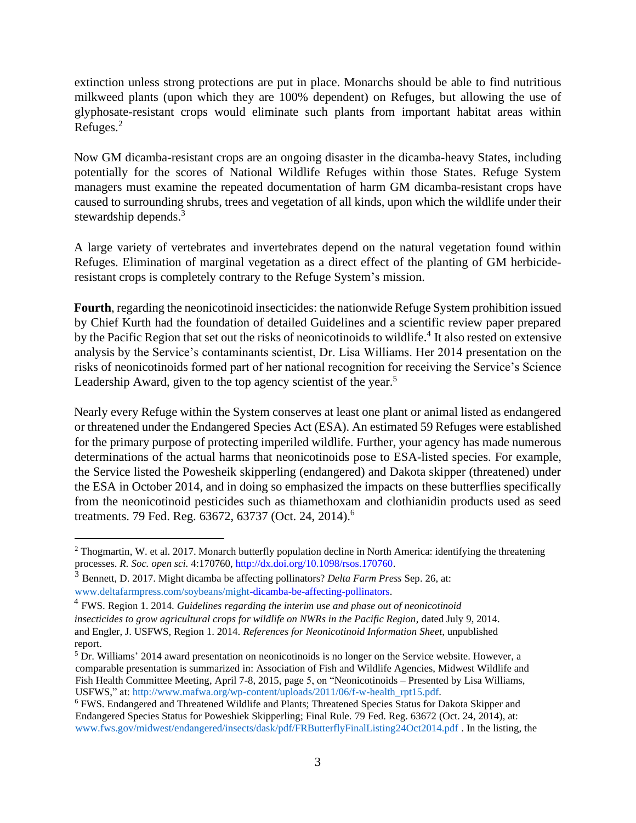extinction unless strong protections are put in place. Monarchs should be able to find nutritious milkweed plants (upon which they are 100% dependent) on Refuges, but allowing the use of glyphosate-resistant crops would eliminate such plants from important habitat areas within Refuges.<sup>2</sup>

Now GM dicamba-resistant crops are an ongoing disaster in the dicamba-heavy States, including potentially for the scores of National Wildlife Refuges within those States. Refuge System managers must examine the repeated documentation of harm GM dicamba-resistant crops have caused to surrounding shrubs, trees and vegetation of all kinds, upon which the wildlife under their stewardship depends.<sup>3</sup>

A large variety of vertebrates and invertebrates depend on the natural vegetation found within Refuges. Elimination of marginal vegetation as a direct effect of the planting of GM herbicideresistant crops is completely contrary to the Refuge System's mission.

**Fourth**, regarding the neonicotinoid insecticides: the nationwide Refuge System prohibition issued by Chief Kurth had the foundation of detailed Guidelines and a scientific review paper prepared by the Pacific Region that set out the risks of neonicotinoids to wildlife. 4 It also rested on extensive analysis by the Service's contaminants scientist, Dr. Lisa Williams. Her 2014 presentation on the risks of neonicotinoids formed part of her national recognition for receiving the Service's Science Leadership Award, given to the top agency scientist of the year.<sup>5</sup>

Nearly every Refuge within the System conserves at least one plant or animal listed as endangered or threatened under the Endangered Species Act (ESA). An estimated 59 Refuges were established for the primary purpose of protecting imperiled wildlife. Further, your agency has made numerous determinations of the actual harms that neonicotinoids pose to ESA-listed species. For example, the Service listed the Powesheik skipperling (endangered) and Dakota skipper (threatened) under the ESA in October 2014, and in doing so emphasized the impacts on these butterflies specifically from the neonicotinoid pesticides such as thiamethoxam and clothianidin products used as seed treatments. 79 Fed. Reg. 63672, 63737 (Oct. 24, 2014).<sup>6</sup>

<sup>&</sup>lt;sup>2</sup> Thogmartin, W. et al. 2017. Monarch butterfly population decline in North America: identifying the threatening processes. *R. Soc. open sci.* 4:170760[, http://dx.doi.org/10.1098/rsos.170760.](http://dx.doi.org/10.1098/rsos.170760)

<sup>3</sup> Bennett, D. 2017. Might dicamba be affecting pollinators? *Delta Farm Press* Sep. 26, at: [www.deltafarmpress.com/soybeans/might](http://www.deltafarmpress.com/soybeans/might)[-dicamba-be-affecting-pollinators.](http://www.deltafarmpress.com/soybeans/might-dicamba-be-affecting-pollinators) 

<sup>4</sup> FWS. Region 1. 2014. *Guidelines regarding the interim use and phase out of neonicotinoid insecticides to grow agricultural crops for wildlife on NWRs in the Pacific Region*, dated July 9, 2014. and Engler, J. USFWS, Region 1. 2014. *References for Neonicotinoid Information Sheet*, unpublished report.

<sup>5</sup> Dr. Williams' 2014 award presentation on neonicotinoids is no longer on the Service website. However, a comparable presentation is summarized in: Association of Fish and Wildlife Agencies, Midwest Wildlife and Fish Health Committee Meeting, April 7-8, 2015, page 5, on "Neonicotinoids – Presented by Lisa Williams, USFWS," at: [http://www.mafwa.org/wp-content/uploads/2011/06/f-w-health\\_rpt15.pdf.](http://www.mafwa.org/wp-content/uploads/2011/06/f-w-health_rpt15.pdf)

<sup>6</sup> FWS. Endangered and Threatened Wildlife and Plants; Threatened Species Status for Dakota Skipper and Endangered Species Status for Poweshiek Skipperling; Final Rule. 79 Fed. Reg. 63672 (Oct. 24, 2014), at: [www.fws.gov/midwest/endangered/insects/dask/pdf/FRButterflyFinalListing24Oct2014.pdf](http://www.fws.gov/midwest/endangered/insects/dask/pdf/FRButterflyFinalListing24Oct2014.pdf) . In the listing, the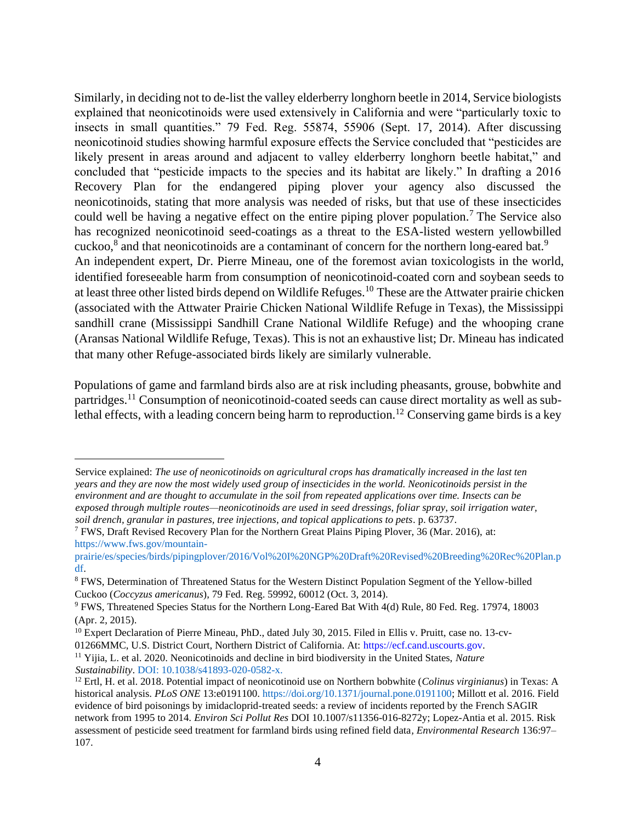Similarly, in deciding not to de-list the valley elderberry longhorn beetle in 2014, Service biologists explained that neonicotinoids were used extensively in California and were "particularly toxic to insects in small quantities." 79 Fed. Reg. 55874, 55906 (Sept. 17, 2014). After discussing neonicotinoid studies showing harmful exposure effects the Service concluded that "pesticides are likely present in areas around and adjacent to valley elderberry longhorn beetle habitat," and concluded that "pesticide impacts to the species and its habitat are likely." In drafting a 2016 Recovery Plan for the endangered piping plover your agency also discussed the neonicotinoids, stating that more analysis was needed of risks, but that use of these insecticides could well be having a negative effect on the entire piping plover population.<sup>7</sup> The Service also has recognized neonicotinoid seed-coatings as a threat to the ESA-listed western yellowbilled cuckoo, $8$  and that neonicotinoids are a contaminant of concern for the northern long-eared bat.<sup>9</sup> An independent expert, Dr. Pierre Mineau, one of the foremost avian toxicologists in the world, identified foreseeable harm from consumption of neonicotinoid-coated corn and soybean seeds to at least three other listed birds depend on Wildlife Refuges.<sup>10</sup> These are the Attwater prairie chicken (associated with the Attwater Prairie Chicken National Wildlife Refuge in Texas), the Mississippi sandhill crane (Mississippi Sandhill Crane National Wildlife Refuge) and the whooping crane (Aransas National Wildlife Refuge, Texas). This is not an exhaustive list; Dr. Mineau has indicated that many other Refuge-associated birds likely are similarly vulnerable.

Populations of game and farmland birds also are at risk including pheasants, grouse, bobwhite and partridges.<sup>11</sup> Consumption of neonicotinoid-coated seeds can cause direct mortality as well as sublethal effects, with a leading concern being harm to reproduction.<sup>12</sup> Conserving game birds is a key

Service explained: *The use of neonicotinoids on agricultural crops has dramatically increased in the last ten years and they are now the most widely used group of insecticides in the world. Neonicotinoids persist in the environment and are thought to accumulate in the soil from repeated applications over time. Insects can be exposed through multiple routes—neonicotinoids are used in seed dressings, foliar spray, soil irrigation water, soil drench, granular in pastures, tree injections, and topical applications to pets*. p. 63737.

<sup>7</sup> FWS, Draft Revised Recovery Plan for the Northern Great Plains Piping Plover, 36 (Mar. 2016), at: [https://www.fws.gov/mountain-](https://www.fws.gov/mountain-prairie/es/species/birds/pipingplover/2016/Vol%20I%20NGP%20Draft%20Revised%20Breeding%20Rec%20Plan.pdf)

[prairie/es/species/birds/pipingplover/2016/Vol%20I%20NGP%20Draft%20Revised%20Breeding%20Rec%20Plan.p](https://www.fws.gov/mountain-prairie/es/species/birds/pipingplover/2016/Vol%20I%20NGP%20Draft%20Revised%20Breeding%20Rec%20Plan.pdf) [df.](https://www.fws.gov/mountain-prairie/es/species/birds/pipingplover/2016/Vol%20I%20NGP%20Draft%20Revised%20Breeding%20Rec%20Plan.pdf)

<sup>8</sup> FWS, Determination of Threatened Status for the Western Distinct Population Segment of the Yellow-billed Cuckoo (*Coccyzus americanus*), 79 Fed. Reg. 59992, 60012 (Oct. 3, 2014).

<sup>9</sup> FWS, Threatened Species Status for the Northern Long-Eared Bat With 4(d) Rule, 80 Fed. Reg. 17974, 18003 (Apr. 2, 2015).

<sup>10</sup> Expert Declaration of Pierre Mineau, PhD., dated July 30, 2015. Filed in Ellis v. Pruitt, case no. 13-cv-01266MMC, U.S. District Court, Northern District of California. At: [https://ecf.cand.uscourts.gov.](https://ecf.cand.uscourts.gov/)

<sup>11</sup> Yijia, L. et al. 2020. Neonicotinoids and decline in bird biodiversity in the United States, *Nature Sustainability*. [DOI: 10.1038/s41893-020-0582-x.](http://dx.doi.org/10.1038/s41893-020-0582-x)

<sup>12</sup> Ertl, H. et al. 2018. Potential impact of neonicotinoid use on Northern bobwhite (*Colinus virginianus*) in Texas: A historical analysis. *PLoS ONE* 13:e0191100. [https://doi.org/10.1371/journal.pone.0191100;](https://doi.org/10.1371/journal.pone.0191100) Millott et al. 2016. Field evidence of bird poisonings by imidacloprid-treated seeds: a review of incidents reported by the French SAGIR network from 1995 to 2014. *Environ Sci Pollut Res* DOI 10.1007/s11356-016-8272y; Lopez-Antia et al. 2015. Risk assessment of pesticide seed treatment for farmland birds using refined field data*, Environmental Research* 136:97– 107.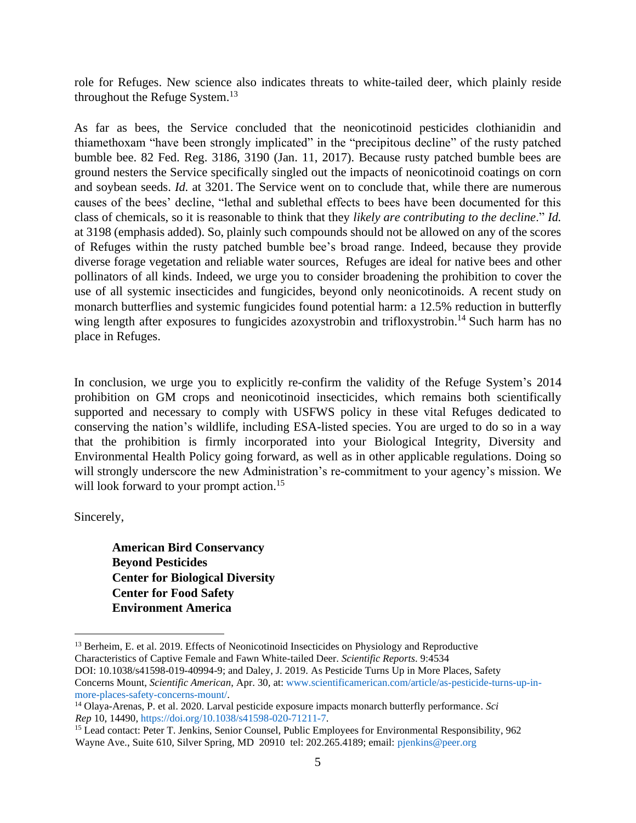role for Refuges. New science also indicates threats to white-tailed deer, which plainly reside throughout the Refuge System.<sup>13</sup>

As far as bees, the Service concluded that the neonicotinoid pesticides clothianidin and thiamethoxam "have been strongly implicated" in the "precipitous decline" of the rusty patched bumble bee. 82 Fed. Reg. 3186, 3190 (Jan. 11, 2017). Because rusty patched bumble bees are ground nesters the Service specifically singled out the impacts of neonicotinoid coatings on corn and soybean seeds. *Id.* at 3201. The Service went on to conclude that, while there are numerous causes of the bees' decline, "lethal and sublethal effects to bees have been documented for this class of chemicals, so it is reasonable to think that they *likely are contributing to the decline*." *Id.*  at 3198 (emphasis added). So, plainly such compounds should not be allowed on any of the scores of Refuges within the rusty patched bumble bee's broad range. Indeed, because they provide diverse forage vegetation and reliable water sources, Refuges are ideal for native bees and other pollinators of all kinds. Indeed, we urge you to consider broadening the prohibition to cover the use of all systemic insecticides and fungicides, beyond only neonicotinoids. A recent study on monarch butterflies and systemic fungicides found potential harm: a 12.5% reduction in butterfly wing length after exposures to fungicides azoxystrobin and trifloxystrobin.<sup>14</sup> Such harm has no place in Refuges.

In conclusion, we urge you to explicitly re-confirm the validity of the Refuge System's 2014 prohibition on GM crops and neonicotinoid insecticides, which remains both scientifically supported and necessary to comply with USFWS policy in these vital Refuges dedicated to conserving the nation's wildlife, including ESA-listed species. You are urged to do so in a way that the prohibition is firmly incorporated into your Biological Integrity, Diversity and Environmental Health Policy going forward, as well as in other applicable regulations. Doing so will strongly underscore the new Administration's re-commitment to your agency's mission. We will look forward to your prompt action.<sup>15</sup>

Sincerely,

**American Bird Conservancy Beyond Pesticides Center for Biological Diversity Center for Food Safety Environment America** 

<sup>&</sup>lt;sup>13</sup> Berheim, E. et al. 2019. Effects of Neonicotinoid Insecticides on Physiology and Reproductive Characteristics of Captive Female and Fawn White-tailed Deer. *Scientific Reports*. 9:4534

DOI: 10.1038/s41598-019-40994-9; and Daley, J. 2019. As Pesticide Turns Up in More Places, Safety Concerns Mount, *Scientific American*, Apr. 30*,* at: [www.scientificamerican.com/article/as-pesticide-turns-up-in](http://www.scientificamerican.com/article/as-pesticide-turns-up-in-more-places-safety-concerns-mount/)[more-places-safety-concerns-mount/.](http://www.scientificamerican.com/article/as-pesticide-turns-up-in-more-places-safety-concerns-mount/)

<sup>14</sup> Olaya-Arenas, P. et al. 2020. Larval pesticide exposure impacts monarch butterfly performance. *Sci Rep* 10, 14490[, https://doi.org/10.1038/s41598-020-71211-7.](https://doi.org/10.1038/s41598-020-71211-7)

<sup>&</sup>lt;sup>15</sup> Lead contact: Peter T. Jenkins, Senior Counsel, Public Employees for Environmental Responsibility, 962 Wayne Ave., Suite 610, Silver Spring, MD 20910 tel: 202.265.4189; email: [pjenkins@peer.org](mailto:pjenkins@peer.org)